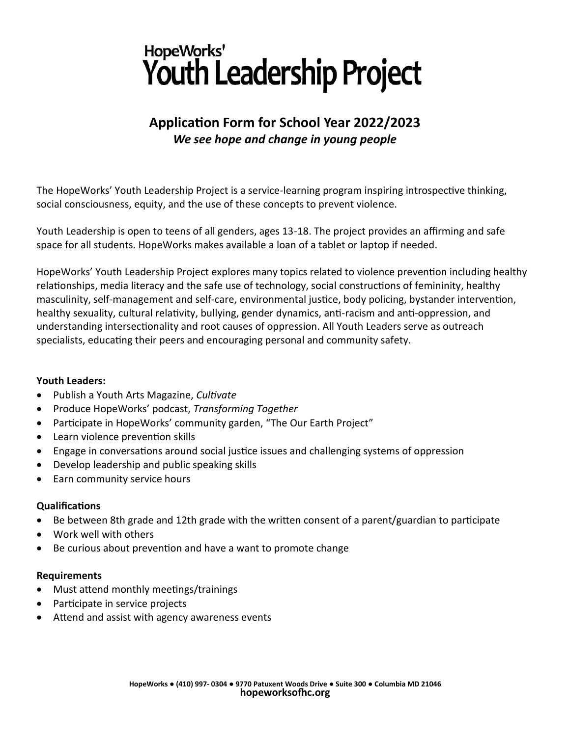# HopeWorks' Youth Leadership Project

## **Application Form for School Year 2022/2023** *We see hope and change in young people*

The HopeWorks' Youth Leadership Project is a service-learning program inspiring introspective thinking, social consciousness, equity, and the use of these concepts to prevent violence.

Youth Leadership is open to teens of all genders, ages 13-18. The project provides an affirming and safe space for all students. HopeWorks makes available a loan of a tablet or laptop if needed.

HopeWorks' Youth Leadership Project explores many topics related to violence prevention including healthy relationships, media literacy and the safe use of technology, social constructions of femininity, healthy masculinity, self-management and self-care, environmental justice, body policing, bystander intervention, healthy sexuality, cultural relativity, bullying, gender dynamics, anti-racism and anti-oppression, and understanding intersectionality and root causes of oppression. All Youth Leaders serve as outreach specialists, educating their peers and encouraging personal and community safety.

#### **Youth Leaders:**

- Publish a Youth Arts Magazine, *Cultivate*
- Produce HopeWorks' podcast, *Transforming Together*
- Participate in HopeWorks' community garden, "The Our Earth Project"
- Learn violence prevention skills
- Engage in conversations around social justice issues and challenging systems of oppression
- Develop leadership and public speaking skills
- Earn community service hours

#### **Qualifications**

- Be between 8th grade and 12th grade with the written consent of a parent/guardian to participate
- Work well with others
- Be curious about prevention and have a want to promote change

#### **Requirements**

- Must attend monthly meetings/trainings
- Participate in service projects
- Attend and assist with agency awareness events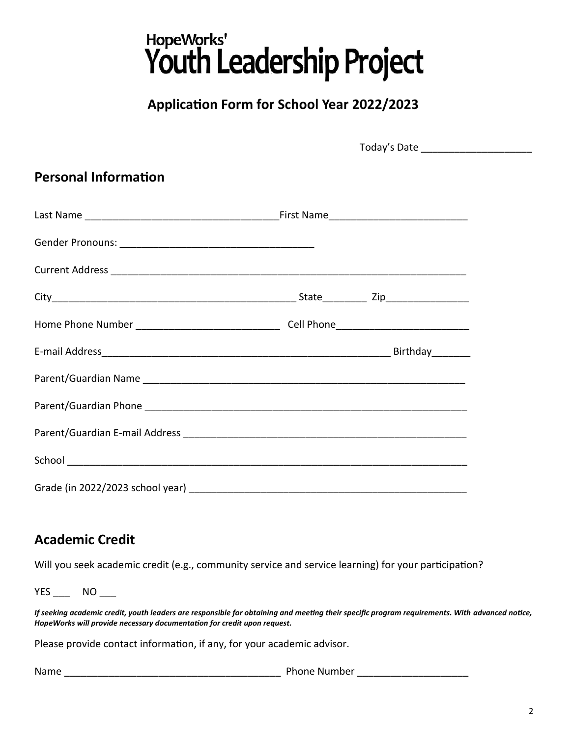# HopeWorks'<br>Youth Leadership Project

# **Application Form for School Year 2022/2023**

| <b>Personal Information</b>                                                       |  |  |  |
|-----------------------------------------------------------------------------------|--|--|--|
|                                                                                   |  |  |  |
|                                                                                   |  |  |  |
|                                                                                   |  |  |  |
|                                                                                   |  |  |  |
| Home Phone Number _________________________________Cell Phone____________________ |  |  |  |
|                                                                                   |  |  |  |
|                                                                                   |  |  |  |
|                                                                                   |  |  |  |
|                                                                                   |  |  |  |
|                                                                                   |  |  |  |
|                                                                                   |  |  |  |

#### **Academic Credit**

Will you seek academic credit (e.g., community service and service learning) for your participation?

YES \_\_\_ NO \_\_\_

*If seeking academic credit, youth leaders are responsible for obtaining and meeting their specific program requirements. With advanced notice, HopeWorks will provide necessary documentation for credit upon request.*

Please provide contact information, if any, for your academic advisor.

Name \_\_\_\_\_\_\_\_\_\_\_\_\_\_\_\_\_\_\_\_\_\_\_\_\_\_\_\_\_\_\_\_\_\_\_\_\_\_\_ Phone Number \_\_\_\_\_\_\_\_\_\_\_\_\_\_\_\_\_\_\_\_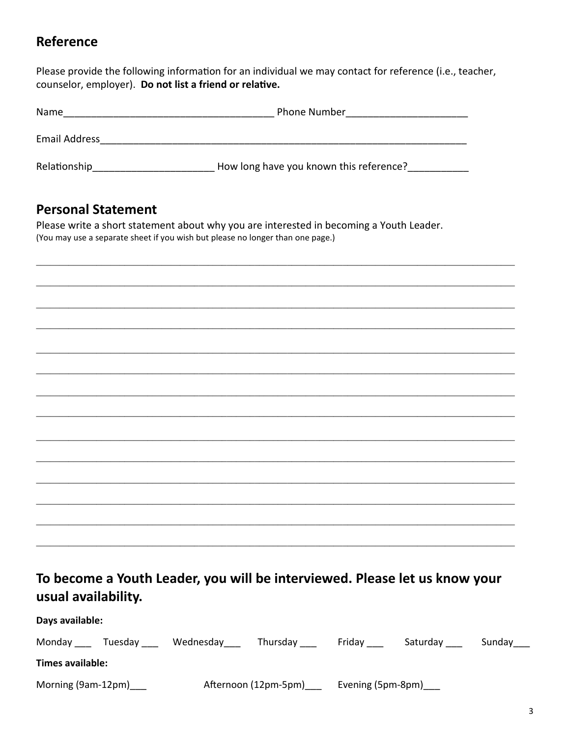# **Reference**

Please provide the following information for an individual we may contact for reference (i.e., teacher, counselor, employer). Do not list a friend or relative.

| Name          | <b>Phone Number</b>                     |  |  |  |  |
|---------------|-----------------------------------------|--|--|--|--|
| Email Address |                                         |  |  |  |  |
| Relationship  | How long have you known this reference? |  |  |  |  |

## **Personal Statement**

Please write a short statement about why you are interested in becoming a Youth Leader. (You may use a separate sheet if you wish but please no longer than one page.)

# To become a Youth Leader, you will be interviewed. Please let us know your usual availability.

#### Days available:

| Monday<br>Tuesdav       | Wednesday | Thursday             | Fridav | Saturday              | Sunday |  |
|-------------------------|-----------|----------------------|--------|-----------------------|--------|--|
| <b>Times available:</b> |           |                      |        |                       |        |  |
| Morning (9am-12pm)      |           | Afternoon (12pm-5pm) |        | Evening (5pm-8pm)____ |        |  |